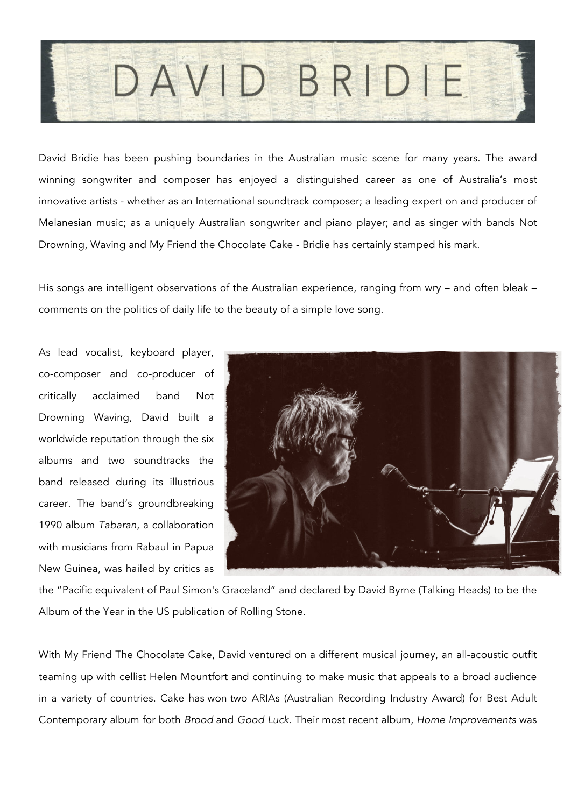

David Bridie has been pushing boundaries in the Australian music scene for many years. The award winning songwriter and composer has enjoyed a distinguished career as one of Australia's most innovative artists - whether as an International soundtrack composer; a leading expert on and producer of Melanesian music; as a uniquely Australian songwriter and piano player; and as singer with bands Not Drowning, Waving and My Friend the Chocolate Cake - Bridie has certainly stamped his mark.

His songs are intelligent observations of the Australian experience, ranging from wry – and often bleak – comments on the politics of daily life to the beauty of a simple love song.

As lead vocalist, keyboard player, co-composer and co-producer of critically acclaimed band Not Drowning Waving, David built a worldwide reputation through the six albums and two soundtracks the band released during its illustrious career. The band's groundbreaking 1990 album *Tabaran*, a collaboration with musicians from Rabaul in Papua New Guinea, was hailed by critics as



the "Pacific equivalent of Paul Simon's Graceland" and declared by David Byrne (Talking Heads) to be the Album of the Year in the US publication of Rolling Stone.

With My Friend The Chocolate Cake, David ventured on a different musical journey, an all-acoustic outfit teaming up with cellist Helen Mountfort and continuing to make music that appeals to a broad audience in a variety of countries. Cake has won two ARIAs (Australian Recording Industry Award) for Best Adult Contemporary album for both *Brood* and *Good Luck*. Their most recent album, *Home Improvements* was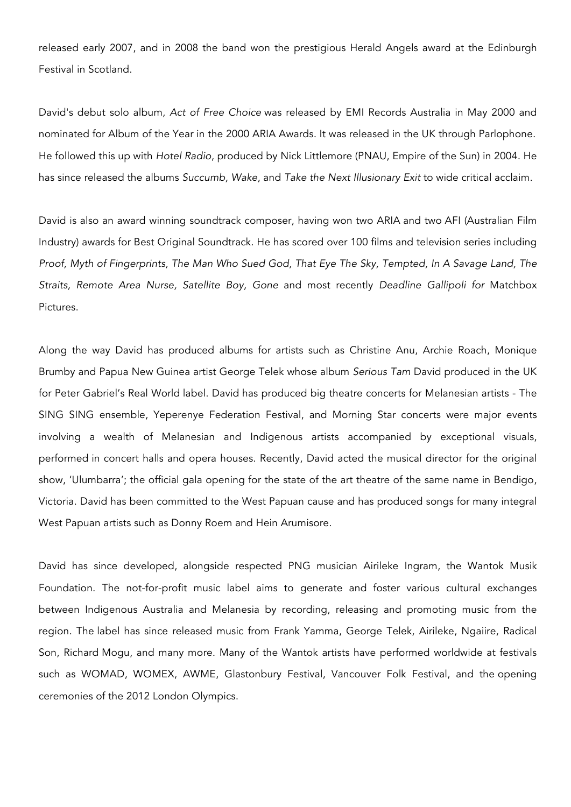released early 2007, and in 2008 the band won the prestigious Herald Angels award at the Edinburgh Festival in Scotland.

David's debut solo album, *Act of Free Choice* was released by EMI Records Australia in May 2000 and nominated for Album of the Year in the 2000 ARIA Awards. It was released in the UK through Parlophone. He followed this up with *Hotel Radio*, produced by Nick Littlemore (PNAU, Empire of the Sun) in 2004. He has since released the albums *Succumb, Wake*, and *Take the Next Illusionary Exit* to wide critical acclaim.

David is also an award winning soundtrack composer, having won two ARIA and two AFI (Australian Film Industry) awards for Best Original Soundtrack. He has scored over 100 films and television series including *Proof, Myth of Fingerprints, The Man Who Sued God, That Eye The Sky, Tempted, In A Savage Land, The Straits, Remote Area Nurse, Satellite Boy, Gone* and most recently *Deadline Gallipoli for* Matchbox Pictures.

Along the way David has produced albums for artists such as Christine Anu, Archie Roach, Monique Brumby and Papua New Guinea artist George Telek whose album *Serious Tam* David produced in the UK for Peter Gabriel's Real World label. David has produced big theatre concerts for Melanesian artists - The SING SING ensemble, Yeperenye Federation Festival, and Morning Star concerts were major events involving a wealth of Melanesian and Indigenous artists accompanied by exceptional visuals, performed in concert halls and opera houses. Recently, David acted the musical director for the original show, 'Ulumbarra'; the official gala opening for the state of the art theatre of the same name in Bendigo, Victoria. David has been committed to the West Papuan cause and has produced songs for many integral West Papuan artists such as Donny Roem and Hein Arumisore.

David has since developed, alongside respected PNG musician Airileke Ingram, the Wantok Musik Foundation. The not-for-profit music label aims to generate and foster various cultural exchanges between Indigenous Australia and Melanesia by recording, releasing and promoting music from the region. The label has since released music from Frank Yamma, George Telek, Airileke, Ngaiire, Radical Son, Richard Mogu, and many more. Many of the Wantok artists have performed worldwide at festivals such as WOMAD, WOMEX, AWME, Glastonbury Festival, Vancouver Folk Festival, and the opening ceremonies of the 2012 London Olympics.